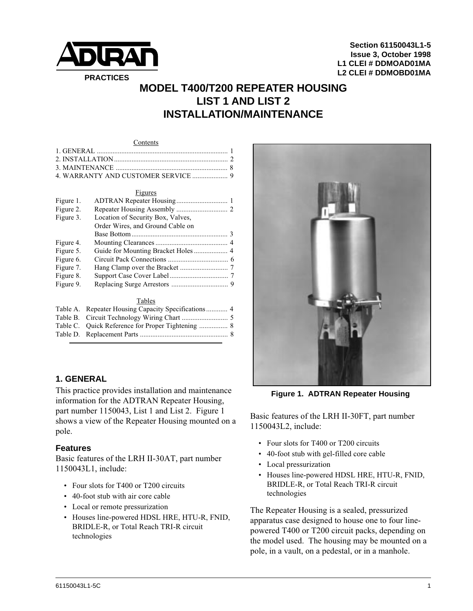

**Section 61150043L1-5 Issue 3, October 1998 L1 CLEI # DDMOAD01MA L2 CLEI # DDMOBD01MA**

# **MODEL T400/T200 REPEATER HOUSING LIST 1 AND LIST 2 INSTALLATION/MAINTENANCE**

#### Contents

#### Figures

| Figure 1. |                                   |  |
|-----------|-----------------------------------|--|
| Figure 2. |                                   |  |
| Figure 3. | Location of Security Box, Valves, |  |
|           | Order Wires, and Ground Cable on  |  |
|           |                                   |  |
| Figure 4. |                                   |  |
| Figure 5. |                                   |  |
| Figure 6. |                                   |  |
| Figure 7. |                                   |  |
| Figure 8. |                                   |  |
| Figure 9. |                                   |  |
|           |                                   |  |
|           | $T_2$ klas                        |  |

| 1 avits |  |
|---------|--|
|         |  |
|         |  |
|         |  |
|         |  |
|         |  |

# **1. GENERAL**

This practice provides installation and maintenance information for the ADTRAN Repeater Housing, part number 1150043, List 1 and List 2. Figure 1 shows a view of the Repeater Housing mounted on a pole.

#### **Features**

Basic features of the LRH II-30AT, part number 1150043L1, include:

- Four slots for T400 or T200 circuits
- 40-foot stub with air core cable
- Local or remote pressurization
- Houses line-powered HDSL HRE, HTU-R, FNID, BRIDLE-R, or Total Reach TRI-R circuit technologies



**Figure 1. ADTRAN Repeater Housing**

Basic features of the LRH II-30FT, part number 1150043L2, include:

- Four slots for T400 or T200 circuits
- 40-foot stub with gel-filled core cable
- Local pressurization
- Houses line-powered HDSL HRE, HTU-R, FNID, BRIDLE-R, or Total Reach TRI-R circuit technologies

The Repeater Housing is a sealed, pressurized apparatus case designed to house one to four linepowered T400 or T200 circuit packs, depending on the model used. The housing may be mounted on a pole, in a vault, on a pedestal, or in a manhole.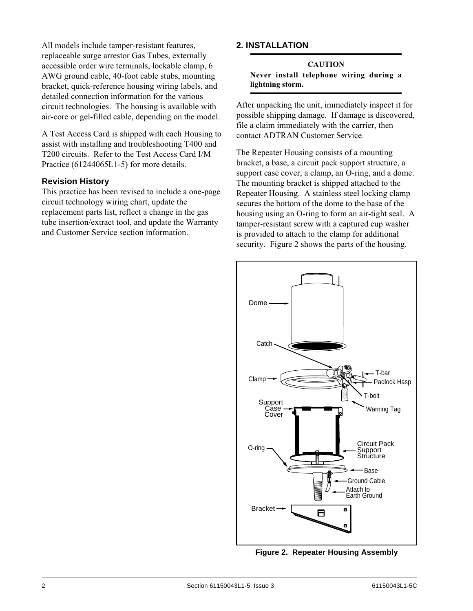All models include tamper-resistant features, replaceable surge arrestor Gas Tubes, externally accessible order wire terminals, lockable clamp, 6 AWG ground cable, 40-foot cable stubs, mounting bracket, quick-reference housing wiring labels, and detailed connection information for the various circuit technologies. The housing is available with air-core or gel-filled cable, depending on the model.

A Test Access Card is shipped with each Housing to assist with installing and troubleshooting T400 and T200 circuits. Refer to the Test Access Card I/M Practice (61244065L1-5) for more details.

# **Revision History**

This practice has been revised to include a one-page circuit technology wiring chart, update the replacement parts list, reflect a change in the gas tube insertion/extract tool, and update the Warranty and Customer Service section information.

# **2. INSTALLATION**

### **CAUTION Never install telephone wiring during a lightning storm.**

After unpacking the unit, immediately inspect it for possible shipping damage. If damage is discovered, file a claim immediately with the carrier, then contact ADTRAN Customer Service.

The Repeater Housing consists of a mounting bracket, a base, a circuit pack support structure, a support case cover, a clamp, an O-ring, and a dome. The mounting bracket is shipped attached to the Repeater Housing. A stainless steel locking clamp secures the bottom of the dome to the base of the housing using an O-ring to form an air-tight seal. A tamper-resistant screw with a captured cup washer is provided to attach to the clamp for additional security. Figure 2 shows the parts of the housing.



**Figure 2. Repeater Housing Assembly**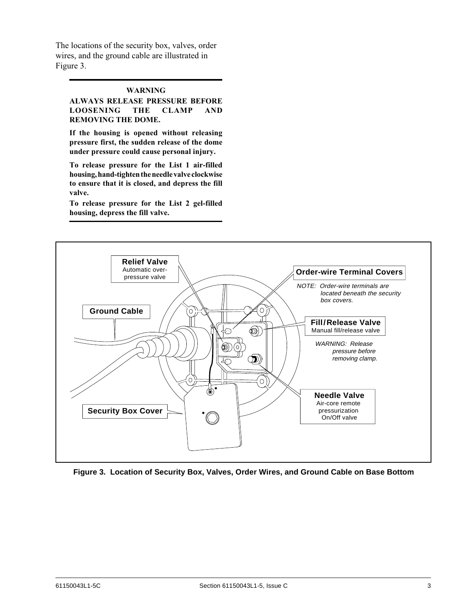The locations of the security box, valves, order wires, and the ground cable are illustrated in Figure 3.

#### **WARNING**

**ALWAYS RELEASE PRESSURE BEFORE LOOSENING THE CLAMP AND REMOVING THE DOME.**

**If the housing is opened without releasing pressure first, the sudden release of the dome under pressure could cause personal injury.**

**To release pressure for the List 1 air-filled housing, hand-tighten the needle valve clockwise to ensure that it is closed, and depress the fill valve.**

**To release pressure for the List 2 gel-filled housing, depress the fill valve.**



**Figure 3. Location of Security Box, Valves, Order Wires, and Ground Cable on Base Bottom**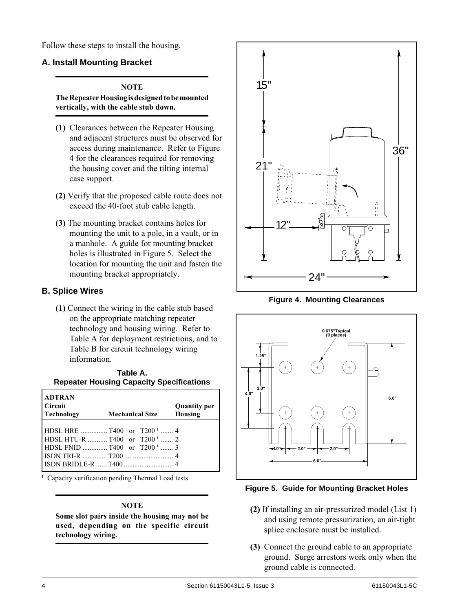Follow these steps to install the housing.

## **A. Install Mounting Bracket**

#### **NOTE**

**The Repeater Housing is designed to be mounted vertically, with the cable stub down.**

- **(1)** Clearances between the Repeater Housing and adjacent structures must be observed for access during maintenance. Refer to Figure 4 for the clearances required for removing the housing cover and the tilting internal case support.
- **(2)** Verify that the proposed cable route does not exceed the 40-foot stub cable length.
- **(3)** The mounting bracket contains holes for mounting the unit to a pole, in a vault, or in a manhole. A guide for mounting bracket holes is illustrated in Figure 5. Select the location for mounting the unit and fasten the mounting bracket appropriately.

## **B. Splice Wires**

**(1)** Connect the wiring in the cable stub based on the appropriate matching repeater technology and housing wiring. Refer to Table A for deployment restrictions, and to Table B for circuit technology wiring information.

|                                                 | Table A. |  |
|-------------------------------------------------|----------|--|
| <b>Repeater Housing Capacity Specifications</b> |          |  |

| <b>ADTRAN</b><br><b>Circuit</b><br>Technology | <b>Mechanical Size</b>                    | <b>Quantity per</b><br>Housing |
|-----------------------------------------------|-------------------------------------------|--------------------------------|
|                                               |                                           |                                |
|                                               |                                           |                                |
|                                               | HDSL HTU-R  T400 or $T200$ <sup>1</sup> 2 |                                |
|                                               |                                           |                                |
|                                               |                                           |                                |
|                                               |                                           |                                |

**1** Capacity verification pending Thermal Load tests

#### **NOTE**

**Some slot pairs inside the housing may not be used, depending on the specific circuit technology wiring.**



**Figure 4. Mounting Clearances**



**Figure 5. Guide for Mounting Bracket Holes**

- **(2)** If installing an air-pressurized model (List 1) and using remote pressurization, an air-tight splice enclosure must be installed.
- **(3)** Connect the ground cable to an appropriate ground. Surge arrestors work only when the ground cable is connected.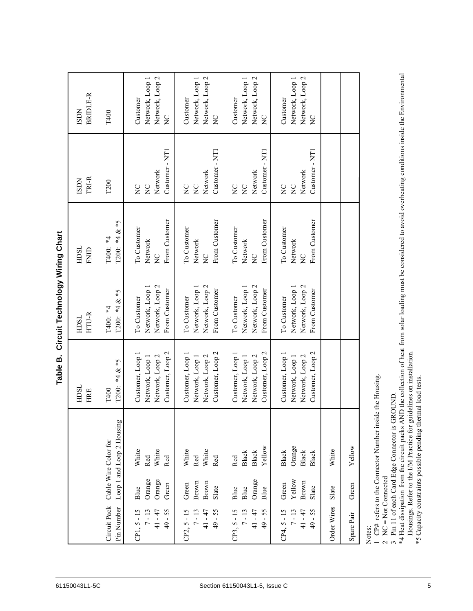|                               |                          |                                                     |                                   |                                                                                                                                                                                                                                      | Table B.                                                                   | Circuit Technology Wiring Chart                                    |                                                             |                                                                                                                                                                      |                                                                    |  |
|-------------------------------|--------------------------|-----------------------------------------------------|-----------------------------------|--------------------------------------------------------------------------------------------------------------------------------------------------------------------------------------------------------------------------------------|----------------------------------------------------------------------------|--------------------------------------------------------------------|-------------------------------------------------------------|----------------------------------------------------------------------------------------------------------------------------------------------------------------------|--------------------------------------------------------------------|--|
| 61150043L1-5C                 |                          |                                                     |                                   |                                                                                                                                                                                                                                      | HDSL<br><b>HRE</b>                                                         | HTU-R<br>HDSL                                                      | HDSL<br><b>ENID</b>                                         | TRI-R<br><b>ISDN</b>                                                                                                                                                 | <b>BRIDLE-R</b><br><b>ISDN</b>                                     |  |
|                               |                          | Circuit Pack<br>Pin Number                          |                                   | Loop 1 and Loop 2 Housing<br>Cable Wire Color for                                                                                                                                                                                    | T200: $*4 & 2 *5$<br>T400                                                  | T200: $*4 & 2 *5$<br>T400: *4                                      | T200: $*4 & 2 *5$<br>T400: *4                               | T <sub>200</sub>                                                                                                                                                     | T400                                                               |  |
|                               |                          | $7 - 13$<br>$49 - 55$<br>$CP1, 5 - 15$<br>41 - 47   | Orange<br>Orange<br>Green<br>Blue | White<br>White<br>Red<br>Red                                                                                                                                                                                                         | Customer, Loop 2<br>Customer, Loop 1<br>Network, Loop 2<br>Network, Loop 1 | Network, Loop 2<br>Network, Loop 1<br>From Customer<br>To Customer | From Customer<br>To Customer<br>Network<br>$\sum_{i=1}^{n}$ | Customer - NT1<br>Network<br>$\sum_{i=1}^{n}$<br>$\overline{z}$                                                                                                      | Network, Loop 2<br>Network, Loop 1<br>Customer<br>$\sum_{i=1}^{n}$ |  |
|                               |                          | $7 - 13$<br>$-55$<br>$CP2, 5 - 15$<br>41 - 47<br>49 | Brown<br>Brown<br>Green<br>Slate  | White<br>White<br>Red<br>Red                                                                                                                                                                                                         | Customer, Loop 2<br>Customer, Loop 1<br>Network, Loop 2<br>Network, Loop 1 | Network, Loop 2<br>Network, Loop 1<br>From Customer<br>To Customer | From Customer<br>To Customer<br>Network<br>$\sum_{i=1}^{n}$ | Customer - NT1<br>Network<br>$\sum_{i=1}^{n}$<br>$\sum_{i=1}^{n}$                                                                                                    | Network, Loop 2<br>Network, Loop 1<br>Customer<br>$\sum_{i=1}^{n}$ |  |
| Section 61150043L1-5, Issue C |                          | $-55$<br>$7 - 13$<br>41 - 47<br>$CP3, 5 - 15$<br>49 | Orange<br>Blue<br>Blue<br>Blue    | Yellow<br>Black<br>Black<br>Red                                                                                                                                                                                                      | Customer, Loop 2<br>Customer, Loop 1<br>Network, Loop 1<br>Network, Loop 2 | Network, Loop 1<br>Network, Loop 2<br>From Customer<br>To Customer | From Customer<br>To Customer<br>Network<br>$\sum_{i=1}^{n}$ | Customer - NT1<br>Network<br>$\sum_{i=1}^{n}$<br>$\sum_{i=1}^{n}$                                                                                                    | Network, Loop 1<br>Network, Loop 2<br>Customer<br>$\overline{C}$   |  |
|                               |                          | $7 - 13$<br>41-47<br>$49 - 55$<br>$CP4, 5 - 15$     | Yellow<br>Brown<br>Green<br>Slate | Orange<br><b>Black</b><br><b>Black</b><br>Black                                                                                                                                                                                      | Customer, Loop 2<br>Customer, Loop 1<br>Network, Loop 2<br>Network, Loop 1 | Network, Loop 2<br>Network, Loop 1<br>From Customer<br>To Customer | From Customer<br>To Customer<br>Network<br>$\sum_{i=1}^{n}$ | Customer - NT1<br>Network<br>$\sum_{i=1}^{n}$<br>$\sum_{i=1}^{n}$                                                                                                    | Network, Loop 1<br>Network, Loop 2<br>Customer<br>$\overline{C}$   |  |
|                               |                          | Order Wires<br>Spare Pair                           | Green<br>Slate                    | Yellow<br>White                                                                                                                                                                                                                      |                                                                            |                                                                    |                                                             |                                                                                                                                                                      |                                                                    |  |
| 5                             | $\overline{\mathcal{L}}$ | $NC = Not Connected$<br>Notes:                      |                                   | Housings. Refer to the I/M Practice for guidelines on installation.<br>*5 Capacity constraints possible pending thermal load tests.<br>3 Pin 11 of each Card Edge Connector is GROUND.<br>1 CP# refers to the Connector Number insid | le the Housing.                                                            |                                                                    |                                                             | *4 Heat dissipation from the circuit packs AND the collection of heat from solar loading must be considered to avoid overheating conditions inside the Environmental |                                                                    |  |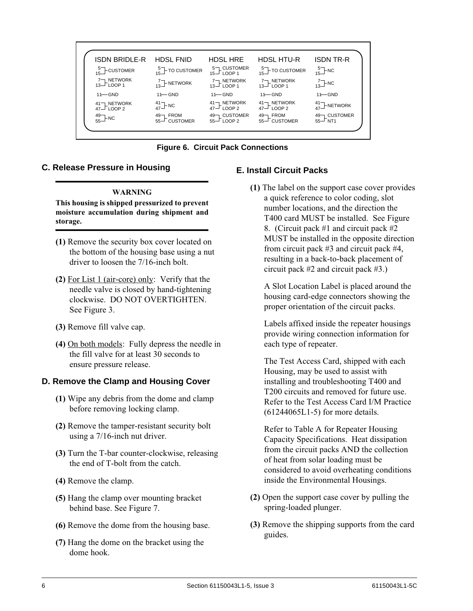

**Figure 6. Circuit Pack Connections**

# **C. Release Pressure in Housing**

#### **WARNING**

**This housing is shipped pressurized to prevent moisture accumulation during shipment and storage.**

- **(1)** Remove the security box cover located on the bottom of the housing base using a nut driver to loosen the 7/16-inch bolt.
- **(2)** For List 1 (air-core) only: Verify that the needle valve is closed by hand-tightening clockwise. DO NOT OVERTIGHTEN. See Figure 3.
- **(3)** Remove fill valve cap.
- **(4)** On both models: Fully depress the needle in the fill valve for at least 30 seconds to ensure pressure release.

# **D. Remove the Clamp and Housing Cover**

- **(1)** Wipe any debris from the dome and clamp before removing locking clamp.
- **(2)** Remove the tamper-resistant security bolt using a 7/16-inch nut driver.
- **(3)** Turn the T-bar counter-clockwise, releasing the end of T-bolt from the catch.
- **(4)** Remove the clamp.
- **(5)** Hang the clamp over mounting bracket behind base. See Figure 7.
- **(6)** Remove the dome from the housing base.
- **(7)** Hang the dome on the bracket using the dome hook.

# **E. Install Circuit Packs**

**(1)** The label on the support case cover provides a quick reference to color coding, slot number locations, and the direction the T400 card MUST be installed. See Figure 8. (Circuit pack #1 and circuit pack #2 MUST be installed in the opposite direction from circuit pack #3 and circuit pack #4, resulting in a back-to-back placement of circuit pack #2 and circuit pack #3.)

A Slot Location Label is placed around the housing card-edge connectors showing the proper orientation of the circuit packs.

Labels affixed inside the repeater housings provide wiring connection information for each type of repeater.

The Test Access Card, shipped with each Housing, may be used to assist with installing and troubleshooting T400 and T200 circuits and removed for future use. Refer to the Test Access Card I/M Practice (61244065L1-5) for more details.

Refer to Table A for Repeater Housing Capacity Specifications. Heat dissipation from the circuit packs AND the collection of heat from solar loading must be considered to avoid overheating conditions inside the Environmental Housings.

- **(2)** Open the support case cover by pulling the spring-loaded plunger.
- **(3)** Remove the shipping supports from the card guides.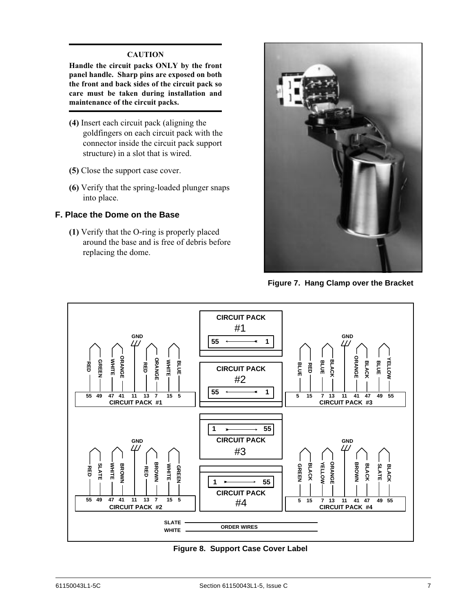#### **CAUTION**

**Handle the circuit packs ONLY by the front panel handle. Sharp pins are exposed on both the front and back sides of the circuit pack so care must be taken during installation and maintenance of the circuit packs.**

- **(4)** Insert each circuit pack (aligning the goldfingers on each circuit pack with the connector inside the circuit pack support structure) in a slot that is wired.
- **(5)** Close the support case cover.
- **(6)** Verify that the spring-loaded plunger snaps into place.

#### **F. Place the Dome on the Base**

**(1)** Verify that the O-ring is properly placed around the base and is free of debris before replacing the dome.



**Figure 7. Hang Clamp over the Bracket**



**Figure 8. Support Case Cover Label**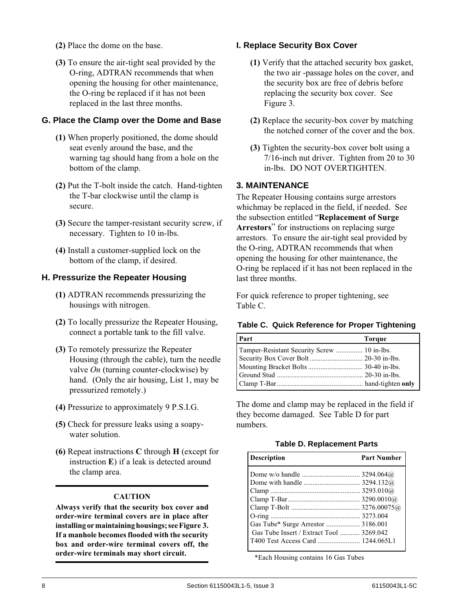- **(2)** Place the dome on the base.
- **(3)** To ensure the air-tight seal provided by the O-ring, ADTRAN recommends that when opening the housing for other maintenance, the O-ring be replaced if it has not been replaced in the last three months.

# **G. Place the Clamp over the Dome and Base**

- **(1)** When properly positioned, the dome should seat evenly around the base, and the warning tag should hang from a hole on the bottom of the clamp.
- **(2)** Put the T-bolt inside the catch. Hand-tighten the T-bar clockwise until the clamp is secure.
- **(3)** Secure the tamper-resistant security screw, if necessary. Tighten to 10 in-lbs.
- **(4)** Install a customer-supplied lock on the bottom of the clamp, if desired.

# **H. Pressurize the Repeater Housing**

- **(1)** ADTRAN recommends pressurizing the housings with nitrogen.
- **(2)** To locally pressurize the Repeater Housing, connect a portable tank to the fill valve.
- **(3)** To remotely pressurize the Repeater Housing (through the cable), turn the needle valve *On* (turning counter-clockwise) by hand. (Only the air housing, List 1, may be pressurized remotely.)
- **(4)** Pressurize to approximately 9 P.S.I.G.
- **(5)** Check for pressure leaks using a soapywater solution.
- **(6)** Repeat instructions **C** through **H** (except for instruction **E**) if a leak is detected around the clamp area.

#### **CAUTION**

**Always verify that the security box cover and order-wire terminal covers are in place after installing or maintaining housings; see Figure␣ 3. If a manhole becomes flooded with the security box and order-wire terminal covers off, the order-wire terminals may short circuit.**

# **I. Replace Security Box Cover**

- **(1)** Verify that the attached security box gasket, the two air -passage holes on the cover, and the security box are free of debris before replacing the security box cover. See Figure 3.
- **(2)** Replace the security-box cover by matching the notched corner of the cover and the box.
- **(3)** Tighten the security-box cover bolt using a 7/16-inch nut driver. Tighten from 20 to 30 in-lbs. DO NOT OVERTIGHTEN.

# **3. MAINTENANCE**

The Repeater Housing contains surge arrestors whichmay be replaced in the field, if needed. See the subsection entitled "**Replacement of Surge Arrestors**" for instructions on replacing surge arrestors. To ensure the air-tight seal provided by the O-ring, ADTRAN recommends that when opening the housing for other maintenance, the O-ring be replaced if it has not been replaced in the last three months.

For quick reference to proper tightening, see Table C.

#### **Table C. Quick Reference for Proper Tightening**

| Part                                        | <b>Torque</b> |
|---------------------------------------------|---------------|
| Tamper-Resistant Security Screw  10 in-lbs. |               |
|                                             |               |
|                                             |               |
|                                             |               |
|                                             |               |

The dome and clamp may be replaced in the field if they become damaged. See Table D for part numbers.

#### **Table D. Replacement Parts**

| <b>Description</b>                       | <b>Part Number</b> |
|------------------------------------------|--------------------|
|                                          |                    |
|                                          |                    |
|                                          |                    |
|                                          |                    |
|                                          |                    |
|                                          |                    |
|                                          |                    |
| Gas Tube Insert / Extract Tool  3269.042 |                    |
|                                          |                    |

\*Each Housing contains 16 Gas Tubes